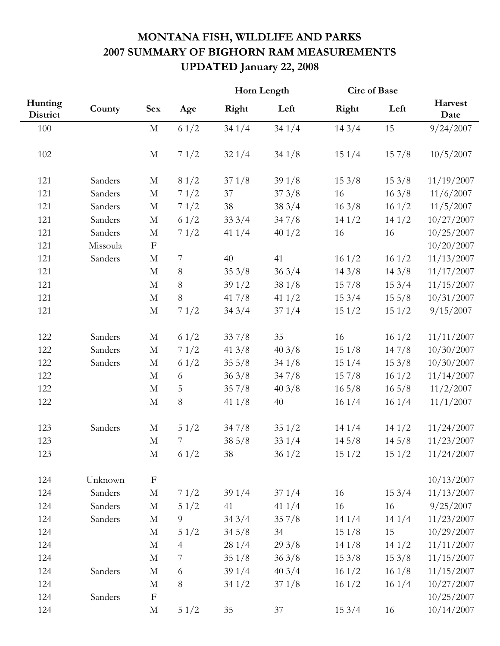## **MONTANA FISH, WILDLIFE AND PARKS 2007 SUMMARY OF BIGHORN RAM MEASUREMENTS UPDATED January 22, 2008**

|                     |          | <b>Sex</b>  |                | Horn Length |          | <b>Circ of Base</b> |                 |                 |
|---------------------|----------|-------------|----------------|-------------|----------|---------------------|-----------------|-----------------|
| Hunting<br>District | County   |             | Age            | Right       | Left     | Right               | Left            | Harvest<br>Date |
| 100                 |          | $\mathbf M$ | 61/2           | 341/4       | 341/4    | 143/4               | 15              | 9/24/2007       |
| 102                 |          | $\mathbf M$ | 71/2           | 321/4       | 341/8    | 151/4               | 157/8           | 10/5/2007       |
| 121                 | Sanders  | $\mathbf M$ | 81/2           | 371/8       | 391/8    | 153/8               | 153/8           | 11/19/2007      |
| 121                 | Sanders  | $\mathbf M$ | 71/2           | 37          | 373/8    | 16                  | 163/8           | 11/6/2007       |
| 121                 | Sanders  | $\mathbf M$ | 71/2           | 38          | 383/4    | 163/8               | 161/2           | 11/5/2007       |
| 121                 | Sanders  | $\mathbf M$ | 61/2           | 333/4       | 347/8    | 141/2               | 141/2           | 10/27/2007      |
| 121                 | Sanders  | $\mathbf M$ | 71/2           | 41 $1/4$    | 401/2    | 16                  | 16              | 10/25/2007      |
| 121                 | Missoula | $\mathbf F$ |                |             |          |                     |                 | 10/20/2007      |
| 121                 | Sanders  | $\mathbf M$ | $\overline{7}$ | 40          | 41       | 161/2               | 161/2           | 11/13/2007      |
| 121                 |          | $\mathbf M$ | $8\,$          | 353/8       | 363/4    | 143/8               | 143/8           | 11/17/2007      |
| 121                 |          | $\mathbf M$ | $8\,$          | 391/2       | 381/8    | 157/8               | 153/4           | 11/15/2007      |
| 121                 |          | $\mathbf M$ | $8\,$          | 417/8       | 41 $1/2$ | 153/4               | 155/8           | 10/31/2007      |
| 121                 |          | $\mathbf M$ | 71/2           | 343/4       | 371/4    | 151/2               | 151/2           | 9/15/2007       |
| 122                 | Sanders  | $\mathbf M$ | 61/2           | 337/8       | 35       | 16                  | 161/2           | 11/11/2007      |
| 122                 | Sanders  | $\mathbf M$ | 71/2           | 41 $3/8$    | 403/8    | 151/8               | 147/8           | 10/30/2007      |
| 122                 | Sanders  | $\mathbf M$ | 61/2           | 355/8       | 341/8    | 151/4               | 153/8           | 10/30/2007      |
| 122                 |          | $\mathbf M$ | 6              | 363/8       | 347/8    | 157/8               | 161/2           | 11/14/2007      |
| 122                 |          | $\mathbf M$ | 5              | 357/8       | 403/8    | $16\frac{5}{8}$     | $16\frac{5}{8}$ | 11/2/2007       |
| 122                 |          | $\mathbf M$ | $8\,$          | 41 $1/8$    | 40       | 161/4               | 161/4           | 11/1/2007       |
| 123                 | Sanders  | $\mathbf M$ | 51/2           | 347/8       | 351/2    | 141/4               | 141/2           | 11/24/2007      |
| 123                 |          | $\mathbf M$ | $\overline{7}$ | 385/8       | 331/4    | 145/8               | 145/8           | 11/23/2007      |
| 123                 |          | $\mathbf M$ | 61/2           | 38          | 361/2    | 151/2               | 151/2           | 11/24/2007      |
| 124                 | Unknown  | $\mathbf F$ |                |             |          |                     |                 | 10/13/2007      |
| 124                 | Sanders  | $\mathbf M$ | 71/2           | 391/4       | 371/4    | 16                  | 153/4           | 11/13/2007      |
| 124                 | Sanders  | $\mathbf M$ | 51/2           | 41          | 41 $1/4$ | 16                  | 16              | 9/25/2007       |
| 124                 | Sanders  | $\mathbf M$ | $\overline{9}$ | 343/4       | 357/8    | 141/4               | 141/4           | 11/23/2007      |
| 124                 |          | $\mathbf M$ | 51/2           | 345/8       | 34       | 151/8               | 15              | 10/29/2007      |
| 124                 |          | $\mathbf M$ | $\overline{4}$ | 281/4       | 293/8    | 141/8               | 141/2           | 11/11/2007      |
| 124                 |          | $\mathbf M$ | $\overline{7}$ | 351/8       | 363/8    | 153/8               | 153/8           | 11/15/2007      |
| 124                 | Sanders  | $\mathbf M$ | $\sqrt{6}$     | 391/4       | 403/4    | 161/2               | 161/8           | 11/15/2007      |
| 124                 |          | $\mathbf M$ | $8\,$          | 341/2       | 371/8    | 161/2               | 161/4           | 10/27/2007      |
| 124                 | Sanders  | $\mathbf F$ |                |             |          |                     |                 | 10/25/2007      |
| 124                 |          | $\mathbf M$ | 51/2           | 35          | 37       | 153/4               | 16              | 10/14/2007      |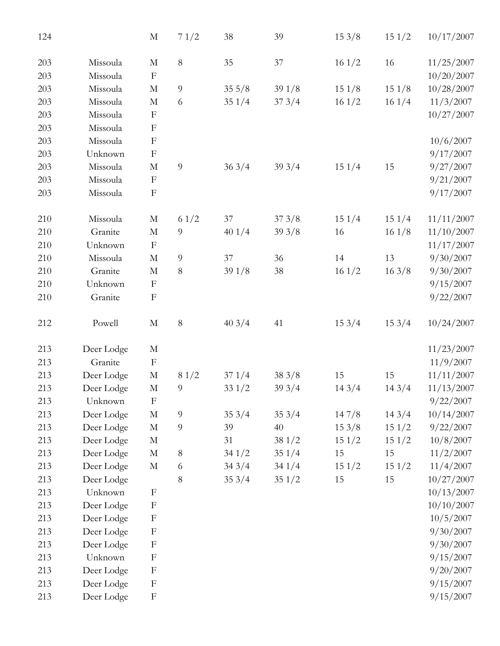| 124 |            | $\mathbf M$               | 71/2           | 38              | 39    | 153/8 | 151/2 | 10/17/2007 |
|-----|------------|---------------------------|----------------|-----------------|-------|-------|-------|------------|
| 203 | Missoula   | $\mathbf M$               | $8\,$          | 35              | 37    | 161/2 | 16    | 11/25/2007 |
| 203 | Missoula   | $\mathbf F$               |                |                 |       |       |       | 10/20/2007 |
| 203 | Missoula   | $\mathbf M$               | 9              | $35\frac{5}{8}$ | 391/8 | 151/8 | 151/8 | 10/28/2007 |
| 203 | Missoula   | $\mathbf M$               | 6              | 351/4           | 373/4 | 161/2 | 161/4 | 11/3/2007  |
| 203 | Missoula   | $\mathbf F$               |                |                 |       |       |       | 10/27/2007 |
| 203 | Missoula   | $\mathbf F$               |                |                 |       |       |       |            |
| 203 | Missoula   | $\boldsymbol{\mathrm{F}}$ |                |                 |       |       |       | 10/6/2007  |
| 203 | Unknown    | $\boldsymbol{F}$          |                |                 |       |       |       | 9/17/2007  |
| 203 | Missoula   | $\mathbf M$               | 9              | 363/4           | 393/4 | 151/4 | 15    | 9/27/2007  |
| 203 | Missoula   | $\mathbf F$               |                |                 |       |       |       | 9/21/2007  |
| 203 | Missoula   | $\boldsymbol{\mathrm{F}}$ |                |                 |       |       |       | 9/17/2007  |
| 210 | Missoula   | $\mathbf M$               | 61/2           | 37              | 373/8 | 151/4 | 151/4 | 11/11/2007 |
| 210 | Granite    | $\mathbf M$               | 9              | 401/4           | 393/8 | 16    | 161/8 | 11/10/2007 |
| 210 | Unknown    | $\boldsymbol{\mathrm{F}}$ |                |                 |       |       |       | 11/17/2007 |
| 210 | Missoula   | $\mathbf M$               | $\overline{9}$ | 37              | 36    | 14    | 13    | 9/30/2007  |
| 210 | Granite    | $\mathbf M$               | $8\,$          | 391/8           | 38    | 161/2 | 163/8 | 9/30/2007  |
| 210 | Unknown    | $\mathbf F$               |                |                 |       |       |       | 9/15/2007  |
| 210 | Granite    | $\mathbf F$               |                |                 |       |       |       | 9/22/2007  |
| 212 | Powell     | $\mathbf M$               | $8\,$          | 403/4           | 41    | 153/4 | 153/4 | 10/24/2007 |
| 213 | Deer Lodge | $\mathbf M$               |                |                 |       |       |       | 11/23/2007 |
| 213 | Granite    | $\boldsymbol{\mathrm{F}}$ |                |                 |       |       |       | 11/9/2007  |
| 213 | Deer Lodge | $\mathbf M$               | 81/2           | 371/4           | 383/8 | 15    | 15    | 11/11/2007 |
| 213 | Deer Lodge | $\mathbf M$               | $\overline{9}$ | 331/2           | 393/4 | 143/4 | 143/4 | 11/13/2007 |
| 213 | Unknown    | $\boldsymbol{F}$          |                |                 |       |       |       | 9/22/2007  |
| 213 | Deer Lodge | $\mathbf M$               | $\overline{9}$ | 353/4           | 353/4 | 147/8 | 143/4 | 10/14/2007 |
| 213 | Deer Lodge | $\mathbf M$               | $\overline{9}$ | 39              | 40    | 153/8 | 151/2 | 9/22/2007  |
| 213 | Deer Lodge | $\mathbf M$               |                | 31              | 381/2 | 151/2 | 151/2 | 10/8/2007  |
| 213 | Deer Lodge | $\mathbf M$               | $8\,$          | 341/2           | 351/4 | 15    | 15    | 11/2/2007  |
| 213 | Deer Lodge | $\mathbf M$               | $\sqrt{6}$     | 343/4           | 341/4 | 151/2 | 151/2 | 11/4/2007  |
| 213 | Deer Lodge |                           | 8              | 353/4           | 351/2 | 15    | 15    | 10/27/2007 |
| 213 | Unknown    | $\boldsymbol{F}$          |                |                 |       |       |       | 10/13/2007 |
| 213 | Deer Lodge | $\boldsymbol{\mathrm{F}}$ |                |                 |       |       |       | 10/10/2007 |
| 213 | Deer Lodge | $\boldsymbol{\mathrm{F}}$ |                |                 |       |       |       | 10/5/2007  |
| 213 | Deer Lodge | $\boldsymbol{\mathrm{F}}$ |                |                 |       |       |       | 9/30/2007  |
| 213 | Deer Lodge | $\boldsymbol{\mathrm{F}}$ |                |                 |       |       |       | 9/30/2007  |
| 213 | Unknown    | $\boldsymbol{\mathrm{F}}$ |                |                 |       |       |       | 9/15/2007  |
| 213 | Deer Lodge | $\boldsymbol{\mathrm{F}}$ |                |                 |       |       |       | 9/20/2007  |
| 213 | Deer Lodge | $\boldsymbol{\mathrm{F}}$ |                |                 |       |       |       | 9/15/2007  |
| 213 | Deer Lodge | $\boldsymbol{\mathrm{F}}$ |                |                 |       |       |       | 9/15/2007  |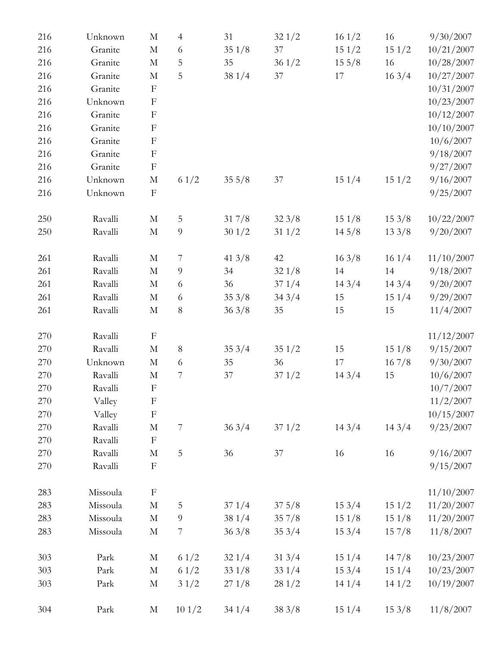| 216 | Unknown  | $\mathbf M$               | 4                | 31       | 321/2           | 161/2           | 16    | 9/30/2007  |
|-----|----------|---------------------------|------------------|----------|-----------------|-----------------|-------|------------|
| 216 | Granite  | $\mathbf M$               | 6                | 351/8    | 37              | 151/2           | 151/2 | 10/21/2007 |
| 216 | Granite  | $\mathbf M$               | 5                | 35       | 361/2           | $15\frac{5}{8}$ | 16    | 10/28/2007 |
| 216 | Granite  | M                         | 5                | 381/4    | 37              | 17              | 163/4 | 10/27/2007 |
| 216 | Granite  | $\mathbf F$               |                  |          |                 |                 |       | 10/31/2007 |
| 216 | Unknown  | $\mathbf F$               |                  |          |                 |                 |       | 10/23/2007 |
| 216 | Granite  | $\boldsymbol{\mathrm{F}}$ |                  |          |                 |                 |       | 10/12/2007 |
| 216 | Granite  | $\boldsymbol{\mathrm{F}}$ |                  |          |                 |                 |       | 10/10/2007 |
| 216 | Granite  | $\boldsymbol{\mathrm{F}}$ |                  |          |                 |                 |       | 10/6/2007  |
| 216 | Granite  | $\boldsymbol{\mathrm{F}}$ |                  |          |                 |                 |       | 9/18/2007  |
| 216 | Granite  | $\boldsymbol{\mathrm{F}}$ |                  |          |                 |                 |       | 9/27/2007  |
| 216 | Unknown  | $\mathbf M$               | 61/2             | 355/8    | $37\,$          | 151/4           | 151/2 | 9/16/2007  |
| 216 | Unknown  | $\boldsymbol{\mathrm{F}}$ |                  |          |                 |                 |       | 9/25/2007  |
| 250 | Ravalli  | $\mathbf M$               | 5                | 317/8    | 323/8           | 151/8           | 153/8 | 10/22/2007 |
| 250 | Ravalli  | $\mathbf M$               | $\overline{9}$   | 301/2    | 311/2           | 145/8           | 133/8 | 9/20/2007  |
| 261 | Ravalli  | $\mathbf M$               | $\overline{7}$   | 41 $3/8$ | 42              | 163/8           | 161/4 | 11/10/2007 |
| 261 | Ravalli  | $\mathbf M$               | $\overline{9}$   | 34       | 321/8           | 14              | 14    | 9/18/2007  |
| 261 | Ravalli  | $\mathbf M$               | 6                | 36       | 371/4           | 143/4           | 143/4 | 9/20/2007  |
| 261 | Ravalli  | $\mathbf M$               | $\sqrt{6}$       | 353/8    | 343/4           | 15              | 151/4 | 9/29/2007  |
| 261 | Ravalli  | $\mathbf M$               | $8\,$            | 363/8    | 35              | 15              | 15    | 11/4/2007  |
| 270 | Ravalli  | $\boldsymbol{F}$          |                  |          |                 |                 |       | 11/12/2007 |
| 270 | Ravalli  | $\mathbf M$               | $8\,$            | 353/4    | 351/2           | 15              | 151/8 | 9/15/2007  |
| 270 | Unknown  | $\mathbf M$               | 6                | 35       | 36              | 17              | 167/8 | 9/30/2007  |
| 270 | Ravalli  | $\mathbf M$               | 7                | 37       | 371/2           | 143/4           | 15    | 10/6/2007  |
| 270 | Ravalli  | $\boldsymbol{\mathrm{F}}$ |                  |          |                 |                 |       | 10/7/2007  |
| 270 | Valley   | $\mathbf F$               |                  |          |                 |                 |       | 11/2/2007  |
| 270 | Valley   | $\boldsymbol{\mathrm{F}}$ |                  |          |                 |                 |       | 10/15/2007 |
| 270 | Ravalli  | $\mathbf M$               | $\boldsymbol{7}$ | 363/4    | 371/2           | 143/4           | 143/4 | 9/23/2007  |
| 270 | Ravalli  | $\mathbf{F}$              |                  |          |                 |                 |       |            |
| 270 | Ravalli  | M                         | 5                | 36       | 37              | 16              | 16    | 9/16/2007  |
| 270 | Ravalli  | $\boldsymbol{\mathrm{F}}$ |                  |          |                 |                 |       | 9/15/2007  |
| 283 | Missoula | $\mathbf F$               |                  |          |                 |                 |       | 11/10/2007 |
| 283 | Missoula | $\mathbf M$               | 5                | 371/4    | $37\frac{5}{8}$ | 153/4           | 151/2 | 11/20/2007 |
| 283 | Missoula | $\mathbf M$               | $\overline{9}$   | 381/4    | 357/8           | 151/8           | 151/8 | 11/20/2007 |
| 283 | Missoula | M                         | 7                | 363/8    | 353/4           | 153/4           | 157/8 | 11/8/2007  |
| 303 | Park     | $\mathbf M$               | 61/2             | 321/4    | 313/4           | 151/4           | 147/8 | 10/23/2007 |
| 303 | Park     | $\mathbf M$               | 61/2             | 331/8    | 331/4           | 153/4           | 151/4 | 10/23/2007 |
| 303 | Park     | $\mathbf M$               | 31/2             | 271/8    | 281/2           | 141/4           | 141/2 | 10/19/2007 |
| 304 | Park     | M                         | 101/2            | 341/4    | 383/8           | 151/4           | 153/8 | 11/8/2007  |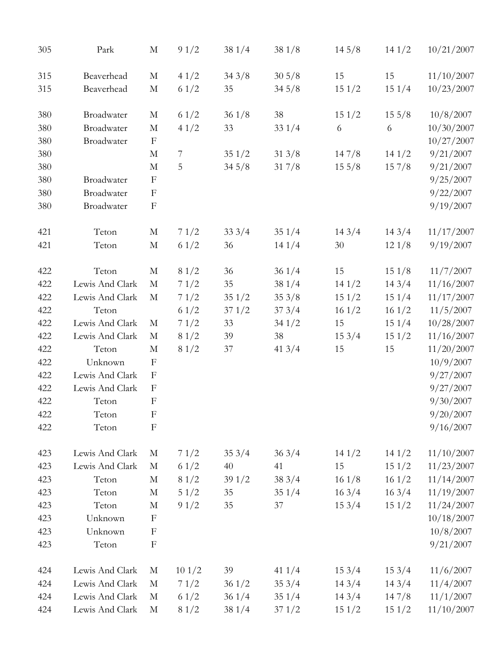| 305 | Park            | М                         | 91/2           | 381/4  | 381/8           | 145/8           | 141/2           | 10/21/2007 |
|-----|-----------------|---------------------------|----------------|--------|-----------------|-----------------|-----------------|------------|
| 315 | Beaverhead      | $\mathbf M$               | 41/2           | 343/8  | $30\frac{5}{8}$ | 15              | 15              | 11/10/2007 |
| 315 | Beaverhead      | $\mathbf M$               | 61/2           | 35     | 345/8           | 151/2           | 151/4           | 10/23/2007 |
| 380 | Broadwater      | $\mathbf M$               | 61/2           | 361/8  | 38              | 151/2           | $15\frac{5}{8}$ | 10/8/2007  |
| 380 | Broadwater      | $\mathbf M$               | 41/2           | 33     | 331/4           | 6               | 6               | 10/30/2007 |
| 380 | Broadwater      | $\mathbf{F}$              |                |        |                 |                 |                 | 10/27/2007 |
| 380 |                 | M                         | $\overline{7}$ | 351/2  | 313/8           | 147/8           | 141/2           | 9/21/2007  |
| 380 |                 | $\mathbf M$               | 5              | 345/8  | 317/8           | $15\frac{5}{8}$ | 157/8           | 9/21/2007  |
| 380 | Broadwater      | $\boldsymbol{F}$          |                |        |                 |                 |                 | 9/25/2007  |
| 380 | Broadwater      | $\boldsymbol{F}$          |                |        |                 |                 |                 | 9/22/2007  |
| 380 | Broadwater      | $\boldsymbol{\mathrm{F}}$ |                |        |                 |                 |                 | 9/19/2007  |
| 421 | Teton           | $\mathbf M$               | 71/2           | 333/4  | 351/4           | 143/4           | 143/4           | 11/17/2007 |
| 421 | Teton           | $\mathbf M$               | 61/2           | 36     | 141/4           | 30              | 121/8           | 9/19/2007  |
| 422 | Teton           | $\mathbf M$               | 81/2           | 36     | 361/4           | 15              | 151/8           | 11/7/2007  |
| 422 | Lewis And Clark | $\mathbf M$               | 71/2           | 35     | 381/4           | 141/2           | 143/4           | 11/16/2007 |
| 422 | Lewis And Clark | $\mathbf M$               | 71/2           | 351/2  | 353/8           | 151/2           | 151/4           | 11/17/2007 |
| 422 | Teton           |                           | 61/2           | 371/2  | 373/4           | 161/2           | 161/2           | 11/5/2007  |
| 422 | Lewis And Clark | M                         | 71/2           | 33     | 341/2           | 15              | 151/4           | 10/28/2007 |
| 422 | Lewis And Clark | $\mathbf M$               | 81/2           | 39     | 38              | 153/4           | 151/2           | 11/16/2007 |
| 422 | Teton           | $\mathbf M$               | 81/2           | $37\,$ | 413/4           | 15              | 15              | 11/20/2007 |
| 422 | Unknown         | $\boldsymbol{F}$          |                |        |                 |                 |                 | 10/9/2007  |
| 422 | Lewis And Clark | $\boldsymbol{F}$          |                |        |                 |                 |                 | 9/27/2007  |
| 422 | Lewis And Clark | $\boldsymbol{\mathrm{F}}$ |                |        |                 |                 |                 | 9/27/2007  |
| 422 | Teton           | $\boldsymbol{F}$          |                |        |                 |                 |                 | 9/30/2007  |
| 422 | Teton           | $\mathbf{F}$              |                |        |                 |                 |                 | 9/20/2007  |
| 422 | Teton           | $\boldsymbol{\mathrm{F}}$ |                |        |                 |                 |                 | 9/16/2007  |
| 423 | Lewis And Clark | M                         | 71/2           | 353/4  | 363/4           | 141/2           | 141/2           | 11/10/2007 |
| 423 | Lewis And Clark | $\mathbf M$               | 61/2           | $40\,$ | 41              | 15              | 151/2           | 11/23/2007 |
| 423 | Teton           | М                         | 81/2           | 391/2  | 383/4           | 161/8           | 161/2           | 11/14/2007 |
| 423 | Teton           | M                         | 51/2           | 35     | 351/4           | 163/4           | 163/4           | 11/19/2007 |
| 423 | Teton           | $\mathbf M$               | 91/2           | 35     | 37              | 153/4           | 151/2           | 11/24/2007 |
| 423 | Unknown         | $\mathbf{F}$              |                |        |                 |                 |                 | 10/18/2007 |
| 423 | Unknown         | F                         |                |        |                 |                 |                 | 10/8/2007  |
| 423 | Teton           | $\boldsymbol{F}$          |                |        |                 |                 |                 | 9/21/2007  |
| 424 | Lewis And Clark | M                         | 101/2          | 39     | 41 $1/4$        | 153/4           | 153/4           | 11/6/2007  |
| 424 | Lewis And Clark | $\mathbf M$               | 71/2           | 361/2  | 353/4           | 143/4           | 143/4           | 11/4/2007  |
| 424 | Lewis And Clark | M                         | 61/2           | 361/4  | 351/4           | 143/4           | 147/8           | 11/1/2007  |
| 424 | Lewis And Clark | $\mathbf M$               | 81/2           | 381/4  | 371/2           | 151/2           | 151/2           | 11/10/2007 |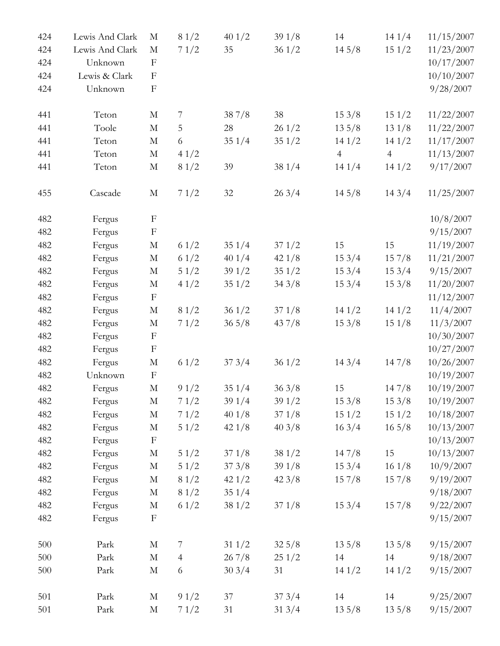| 424 | Lewis And Clark | M                         | 81/2           | 401/2           | 391/8           | 14              | 141/4           | 11/15/2007 |
|-----|-----------------|---------------------------|----------------|-----------------|-----------------|-----------------|-----------------|------------|
| 424 | Lewis And Clark | $\mathbf M$               | 71/2           | 35              | 361/2           | 145/8           | 151/2           | 11/23/2007 |
| 424 | Unknown         | $\boldsymbol{\mathrm{F}}$ |                |                 |                 |                 |                 | 10/17/2007 |
| 424 | Lewis & Clark   | $\boldsymbol{\mathrm{F}}$ |                |                 |                 |                 |                 | 10/10/2007 |
| 424 | Unknown         | $\boldsymbol{\mathrm{F}}$ |                |                 |                 |                 |                 | 9/28/2007  |
| 441 | Teton           | M                         | 7              | 387/8           | 38              | 153/8           | 151/2           | 11/22/2007 |
| 441 | Toole           | $\mathbf M$               | 5              | $28\,$          | 261/2           | $13\,5/8$       | 131/8           | 11/22/2007 |
| 441 | Teton           | $\mathbf M$               | 6              | 351/4           | 351/2           | 141/2           | 141/2           | 11/17/2007 |
| 441 | Teton           | $\mathbf M$               | 41/2           |                 |                 | $\overline{4}$  | $\overline{4}$  | 11/13/2007 |
| 441 | Teton           | $\mathbf M$               | 81/2           | 39              | 381/4           | 141/4           | 141/2           | 9/17/2007  |
| 455 | Cascade         | $\mathbf M$               | 71/2           | $32\,$          | 263/4           | $14\frac{5}{8}$ | 143/4           | 11/25/2007 |
| 482 | Fergus          | $\boldsymbol{\mathrm{F}}$ |                |                 |                 |                 |                 | 10/8/2007  |
| 482 | Fergus          | $\boldsymbol{\mathrm{F}}$ |                |                 |                 |                 |                 | 9/15/2007  |
| 482 | Fergus          | $\mathbf M$               | 61/2           | 351/4           | 371/2           | 15              | 15              | 11/19/2007 |
| 482 | Fergus          | $\mathbf M$               | 61/2           | 401/4           | 421/8           | 153/4           | 157/8           | 11/21/2007 |
| 482 | Fergus          | $\mathbf M$               | $51/2$         | 391/2           | 351/2           | 153/4           | 153/4           | 9/15/2007  |
| 482 | Fergus          | $\mathbf M$               | 41/2           | 351/2           | 343/8           | 153/4           | 153/8           | 11/20/2007 |
| 482 | Fergus          | $\boldsymbol{F}$          |                |                 |                 |                 |                 | 11/12/2007 |
| 482 | Fergus          | M                         | 81/2           | 361/2           | 371/8           | 141/2           | 141/2           | 11/4/2007  |
| 482 | Fergus          | $\mathbf M$               | 71/2           | $36\frac{5}{8}$ | 437/8           | 153/8           | 151/8           | 11/3/2007  |
| 482 | Fergus          | $\mathbf F$               |                |                 |                 |                 |                 | 10/30/2007 |
| 482 | Fergus          | $\mathbf F$               |                |                 |                 |                 |                 | 10/27/2007 |
| 482 | Fergus          | $\mathbf M$               | 61/2           | 373/4           | 361/2           | 143/4           | 147/8           | 10/26/2007 |
| 482 | Unknown         | $\mathbf{F}$              |                |                 |                 |                 |                 | 10/19/2007 |
| 482 | Fergus          | $\mathbf M$               | 91/2           | 351/4           | 363/8           | 15              | 147/8           | 10/19/2007 |
| 482 | Fergus          | $\mathbf M$               | 71/2           | 391/4           | 391/2           | 153/8           | 153/8           | 10/19/2007 |
| 482 | Fergus          | $\mathbf M$               | 71/2           | 401/8           | 371/8           | 151/2           | 151/2           | 10/18/2007 |
| 482 | Fergus          | $\mathbf M$               | 51/2           | 421/8           | 403/8           | 163/4           | $16\frac{5}{8}$ | 10/13/2007 |
| 482 | Fergus          | $\mathbf F$               |                |                 |                 |                 |                 | 10/13/2007 |
| 482 | Fergus          | M                         | 51/2           | 371/8           | 381/2           | 147/8           | 15              | 10/13/2007 |
| 482 | Fergus          | $\mathbf M$               | $5\ 1/2$       | 373/8           | 391/8           | 153/4           | 161/8           | 10/9/2007  |
| 482 | Fergus          | $\mathbf M$               | 81/2           | 421/2           | 423/8           | 157/8           | 157/8           | 9/19/2007  |
| 482 | Fergus          | M                         | 81/2           | 351/4           |                 |                 |                 | 9/18/2007  |
| 482 | Fergus          | $\mathbf M$               | 61/2           | 381/2           | 371/8           | 153/4           | 157/8           | 9/22/2007  |
| 482 | Fergus          | $\mathbf F$               |                |                 |                 |                 |                 | 9/15/2007  |
| 500 | Park            | $\mathbf M$               | $\overline{7}$ | 311/2           | $32\frac{5}{8}$ | $13\,5/8$       | $13\frac{5}{8}$ | 9/15/2007  |
| 500 | Park            | $\mathbf M$               | $\overline{4}$ | 267/8           | 251/2           | 14              | 14              | 9/18/2007  |
| 500 | Park            | M                         | 6              | 303/4           | 31              | 141/2           | 141/2           | 9/15/2007  |
| 501 | Park            | М                         | 91/2           | 37              | 373/4           | 14              | 14              | 9/25/2007  |
| 501 | Park            | M                         | 71/2           | 31              | 313/4           | $13\,5/8$       | $13\,5/8$       | 9/15/2007  |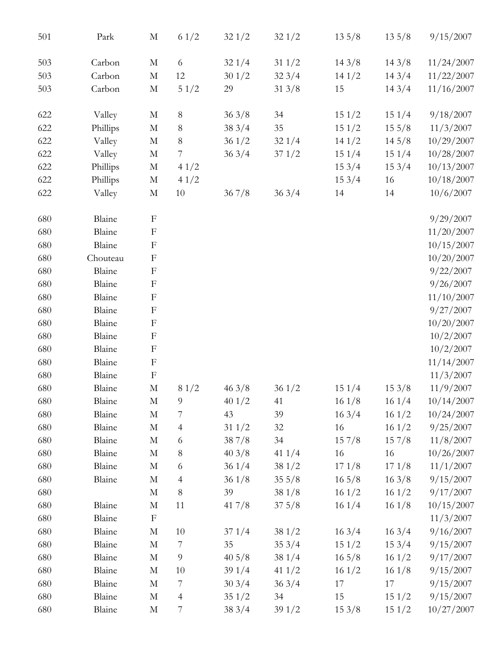| 501 | Park     | $\mathbf M$               | 61/2           | 321/2           | 321/2            | $13\frac{5}{8}$  | $13\frac{5}{8}$  | 9/15/2007  |
|-----|----------|---------------------------|----------------|-----------------|------------------|------------------|------------------|------------|
| 503 | Carbon   | $\mathbf M$               | 6              | 321/4           | $31 \frac{1}{2}$ | 143/8            | 143/8            | 11/24/2007 |
| 503 | Carbon   | $\mathbf M$               | 12             | 301/2           | 323/4            | 141/2            | 143/4            | 11/22/2007 |
| 503 | Carbon   | $\mathbf M$               | 51/2           | 29              | 313/8            | 15               | 143/4            | 11/16/2007 |
| 622 | Valley   | M                         | $8\,$          | 363/8           | 34               | 151/2            | 151/4            | 9/18/2007  |
| 622 | Phillips | $\mathbf M$               | $8\,$          | 383/4           | 35               | 151/2            | $15\frac{5}{8}$  | 11/3/2007  |
| 622 | Valley   | $\mathbf M$               | $8\,$          | 361/2           | 321/4            | 141/2            | 145/8            | 10/29/2007 |
| 622 | Valley   | $\mathbf M$               | 7              | 363/4           | 371/2            | 151/4            | 151/4            | 10/28/2007 |
| 622 | Phillips | $\mathbf M$               | 41/2           |                 |                  | 153/4            | 153/4            | 10/13/2007 |
| 622 | Phillips | $\mathbf M$               | 41/2           |                 |                  | 153/4            | 16               | 10/18/2007 |
| 622 | Valley   | $\mathbf M$               | $10\,$         | 367/8           | 363/4            | 14               | 14               | 10/6/2007  |
| 680 | Blaine   | $\boldsymbol{\mathrm{F}}$ |                |                 |                  |                  |                  | 9/29/2007  |
| 680 | Blaine   | $\boldsymbol{\mathrm{F}}$ |                |                 |                  |                  |                  | 11/20/2007 |
| 680 | Blaine   | $\boldsymbol{\mathrm{F}}$ |                |                 |                  |                  |                  | 10/15/2007 |
| 680 | Chouteau | $\boldsymbol{\mathrm{F}}$ |                |                 |                  |                  |                  | 10/20/2007 |
| 680 | Blaine   | $\boldsymbol{\mathrm{F}}$ |                |                 |                  |                  |                  | 9/22/2007  |
| 680 | Blaine   | $\boldsymbol{F}$          |                |                 |                  |                  |                  | 9/26/2007  |
| 680 | Blaine   | $\boldsymbol{\mathrm{F}}$ |                |                 |                  |                  |                  | 11/10/2007 |
| 680 | Blaine   | $\boldsymbol{\mathrm{F}}$ |                |                 |                  |                  |                  | 9/27/2007  |
| 680 | Blaine   | $\mathbf F$               |                |                 |                  |                  |                  | 10/20/2007 |
| 680 | Blaine   | $\boldsymbol{\mathrm{F}}$ |                |                 |                  |                  |                  | 10/2/2007  |
| 680 | Blaine   | $\boldsymbol{\mathrm{F}}$ |                |                 |                  |                  |                  | 10/2/2007  |
| 680 | Blaine   | $\boldsymbol{\mathrm{F}}$ |                |                 |                  |                  |                  | 11/14/2007 |
| 680 | Blaine   | $\boldsymbol{\mathrm{F}}$ |                |                 |                  |                  |                  | 11/3/2007  |
| 680 | Blaine   | $\mathbf M$               | 81/2           | 463/8           | 361/2            | 151/4            | 153/8            | 11/9/2007  |
| 680 | Blaine   | M                         | 9              | 401/2           | 41               | 161/8            | 161/4            | 10/14/2007 |
| 680 | Blaine   | $\mathbf M$               | $\overline{7}$ | 43              | 39               | 163/4            | 161/2            | 10/24/2007 |
| 680 | Blaine   | $\mathbf M$               | $\overline{4}$ | 311/2           | 32               | 16               | 161/2            | 9/25/2007  |
| 680 | Blaine   | M                         | 6              | 387/8           | 34               | 157/8            | 157/8            | 11/8/2007  |
| 680 | Blaine   | $\mathbf M$               | $8\,$          | 403/8           | 41 $1/4$         | 16               | 16               | 10/26/2007 |
| 680 | Blaine   | $\mathbf M$               | 6              | 361/4           | 381/2            | 171/8            | 171/8            | 11/1/2007  |
| 680 | Blaine   | M                         | 4              | 361/8           | $35\frac{5}{8}$  | $16\frac{5}{8}$  | 163/8            | 9/15/2007  |
| 680 |          | $\mathbf M$               | $8\,$          | 39              | 381/8            | 161/2            | 161/2            | 9/17/2007  |
| 680 | Blaine   | $\mathbf M$               | 11             | 417/8           | $37\frac{5}{8}$  | 161/4            | 161/8            | 10/15/2007 |
| 680 | Blaine   | $\mathbf{F}$              |                |                 |                  |                  |                  | 11/3/2007  |
| 680 | Blaine   | $\mathbf M$               | 10             | 371/4           | 381/2            | $16 \frac{3}{4}$ | $16 \frac{3}{4}$ | 9/16/2007  |
| 680 | Blaine   | $\mathbf M$               | $\overline{7}$ | 35              | 353/4            | 151/2            | 153/4            | 9/15/2007  |
| 680 | Blaine   | M                         | 9              | $40\frac{5}{8}$ | 381/4            | $16\frac{5}{8}$  | 161/2            | 9/17/2007  |
| 680 | Blaine   | M                         | 10             | 391/4           | 41 $1/2$         | 161/2            | 161/8            | 9/15/2007  |
| 680 | Blaine   | $\mathbf M$               | $\overline{7}$ | 303/4           | 363/4            | 17               | 17               | 9/15/2007  |
| 680 | Blaine   | $\mathbf M$               | $\overline{4}$ | 351/2           | 34               | 15               | 151/2            | 9/15/2007  |
| 680 | Blaine   | $\mathbf M$               | 7              | 383/4           | 391/2            | 153/8            | 151/2            | 10/27/2007 |